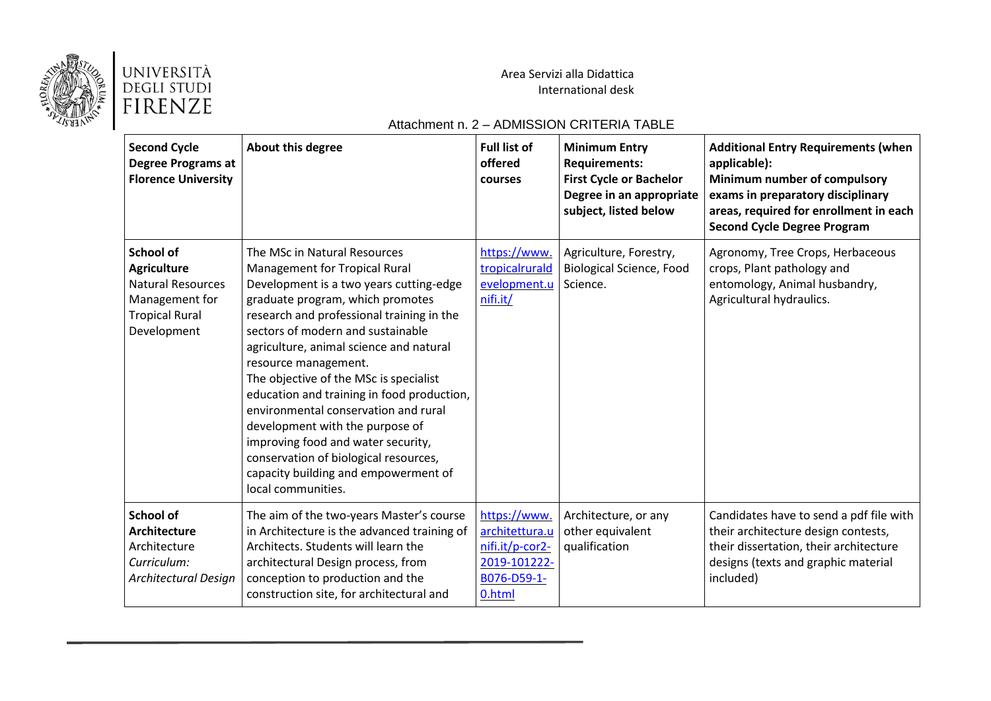

Area Servizi alla Didattica International desk

### Attachment n. 2 – ADMISSION CRITERIA TABLE

| <b>Second Cycle</b><br><b>Degree Programs at</b><br><b>Florence University</b>                                               | About this degree                                                                                                                                                                                                                                                                                                                                                                                                                                                                                                                                                                                                        | <b>Full list of</b><br>offered<br>courses                                                  | <b>Minimum Entry</b><br><b>Requirements:</b><br><b>First Cycle or Bachelor</b><br>Degree in an appropriate<br>subject, listed below | <b>Additional Entry Requirements (when</b><br>applicable):<br>Minimum number of compulsory<br>exams in preparatory disciplinary<br>areas, required for enrollment in each<br><b>Second Cycle Degree Program</b> |
|------------------------------------------------------------------------------------------------------------------------------|--------------------------------------------------------------------------------------------------------------------------------------------------------------------------------------------------------------------------------------------------------------------------------------------------------------------------------------------------------------------------------------------------------------------------------------------------------------------------------------------------------------------------------------------------------------------------------------------------------------------------|--------------------------------------------------------------------------------------------|-------------------------------------------------------------------------------------------------------------------------------------|-----------------------------------------------------------------------------------------------------------------------------------------------------------------------------------------------------------------|
| <b>School of</b><br><b>Agriculture</b><br><b>Natural Resources</b><br>Management for<br><b>Tropical Rural</b><br>Development | The MSc in Natural Resources<br><b>Management for Tropical Rural</b><br>Development is a two years cutting-edge<br>graduate program, which promotes<br>research and professional training in the<br>sectors of modern and sustainable<br>agriculture, animal science and natural<br>resource management.<br>The objective of the MSc is specialist<br>education and training in food production,<br>environmental conservation and rural<br>development with the purpose of<br>improving food and water security,<br>conservation of biological resources,<br>capacity building and empowerment of<br>local communities. | https://www.<br>tropicalrurald<br>evelopment.u<br>nifi.it/                                 | Agriculture, Forestry,<br><b>Biological Science, Food</b><br>Science.                                                               | Agronomy, Tree Crops, Herbaceous<br>crops, Plant pathology and<br>entomology, Animal husbandry,<br>Agricultural hydraulics.                                                                                     |
| <b>School of</b><br><b>Architecture</b><br>Architecture<br>Curriculum:<br>Architectural Design                               | The aim of the two-years Master's course<br>in Architecture is the advanced training of<br>Architects. Students will learn the<br>architectural Design process, from<br>conception to production and the<br>construction site, for architectural and                                                                                                                                                                                                                                                                                                                                                                     | https://www.<br>architettura.u<br>nifi.it/p-cor2-<br>2019-101222-<br>B076-D59-1-<br>0.html | Architecture, or any<br>other equivalent<br>qualification                                                                           | Candidates have to send a pdf file with<br>their architecture design contests,<br>their dissertation, their architecture<br>designs (texts and graphic material<br>included)                                    |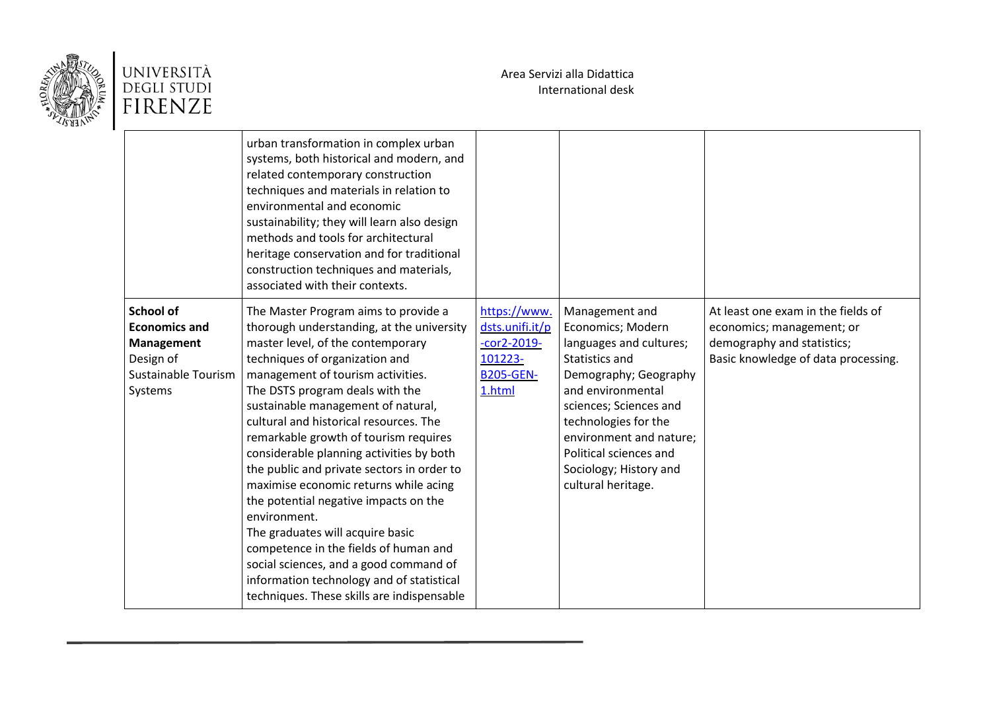



|                                                                                                       | urban transformation in complex urban<br>systems, both historical and modern, and<br>related contemporary construction<br>techniques and materials in relation to<br>environmental and economic<br>sustainability; they will learn also design<br>methods and tools for architectural<br>heritage conservation and for traditional<br>construction techniques and materials,<br>associated with their contexts.                                                                                                                                                                                                                                                                                                                                                         |                                                                                           |                                                                                                                                                                                                                                                                                       |                                                                                                                                      |
|-------------------------------------------------------------------------------------------------------|-------------------------------------------------------------------------------------------------------------------------------------------------------------------------------------------------------------------------------------------------------------------------------------------------------------------------------------------------------------------------------------------------------------------------------------------------------------------------------------------------------------------------------------------------------------------------------------------------------------------------------------------------------------------------------------------------------------------------------------------------------------------------|-------------------------------------------------------------------------------------------|---------------------------------------------------------------------------------------------------------------------------------------------------------------------------------------------------------------------------------------------------------------------------------------|--------------------------------------------------------------------------------------------------------------------------------------|
| <b>School of</b><br><b>Economics and</b><br>Management<br>Design of<br>Sustainable Tourism<br>Systems | The Master Program aims to provide a<br>thorough understanding, at the university<br>master level, of the contemporary<br>techniques of organization and<br>management of tourism activities.<br>The DSTS program deals with the<br>sustainable management of natural,<br>cultural and historical resources. The<br>remarkable growth of tourism requires<br>considerable planning activities by both<br>the public and private sectors in order to<br>maximise economic returns while acing<br>the potential negative impacts on the<br>environment.<br>The graduates will acquire basic<br>competence in the fields of human and<br>social sciences, and a good command of<br>information technology and of statistical<br>techniques. These skills are indispensable | https://www.<br>dsts.unifi.it/p<br>$-cor2-2019-$<br>101223-<br><b>B205-GEN-</b><br>1.html | Management and<br>Economics; Modern<br>languages and cultures;<br>Statistics and<br>Demography; Geography<br>and environmental<br>sciences; Sciences and<br>technologies for the<br>environment and nature;<br>Political sciences and<br>Sociology; History and<br>cultural heritage. | At least one exam in the fields of<br>economics; management; or<br>demography and statistics;<br>Basic knowledge of data processing. |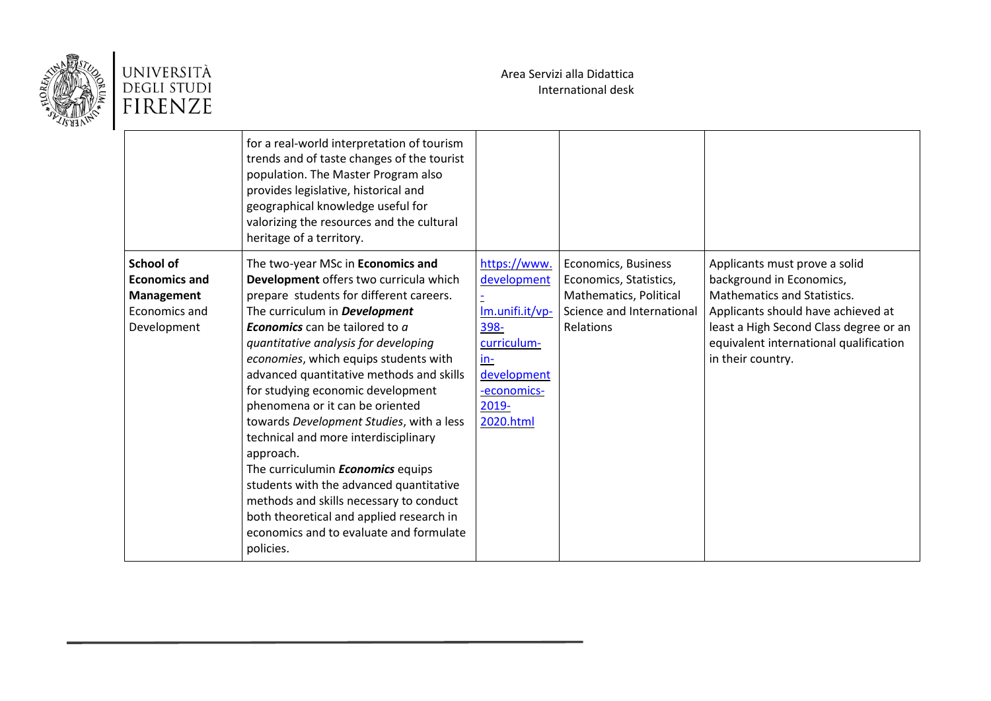

|                                                                                        | for a real-world interpretation of tourism<br>trends and of taste changes of the tourist<br>population. The Master Program also<br>provides legislative, historical and<br>geographical knowledge useful for<br>valorizing the resources and the cultural<br>heritage of a territory.                                                                                                                                                                                                                                                                                                                                                                                                                                                               |                                                                                                                                  |                                                                                                                   |                                                                                                                                                                                                                                                |
|----------------------------------------------------------------------------------------|-----------------------------------------------------------------------------------------------------------------------------------------------------------------------------------------------------------------------------------------------------------------------------------------------------------------------------------------------------------------------------------------------------------------------------------------------------------------------------------------------------------------------------------------------------------------------------------------------------------------------------------------------------------------------------------------------------------------------------------------------------|----------------------------------------------------------------------------------------------------------------------------------|-------------------------------------------------------------------------------------------------------------------|------------------------------------------------------------------------------------------------------------------------------------------------------------------------------------------------------------------------------------------------|
| <b>School of</b><br><b>Economics and</b><br>Management<br>Economics and<br>Development | The two-year MSc in Economics and<br>Development offers two curricula which<br>prepare students for different careers.<br>The curriculum in <b>Development</b><br><b>Economics</b> can be tailored to a<br>quantitative analysis for developing<br>economies, which equips students with<br>advanced quantitative methods and skills<br>for studying economic development<br>phenomena or it can be oriented<br>towards Development Studies, with a less<br>technical and more interdisciplinary<br>approach.<br>The curriculumin <b>Economics</b> equips<br>students with the advanced quantitative<br>methods and skills necessary to conduct<br>both theoretical and applied research in<br>economics and to evaluate and formulate<br>policies. | https://www.<br>development<br>Im.unifi.it/vp-<br>398-<br>curriculum-<br>in-<br>development<br>-economics-<br>2019-<br>2020.html | Economics, Business<br>Economics, Statistics,<br>Mathematics, Political<br>Science and International<br>Relations | Applicants must prove a solid<br>background in Economics,<br><b>Mathematics and Statistics.</b><br>Applicants should have achieved at<br>least a High Second Class degree or an<br>equivalent international qualification<br>in their country. |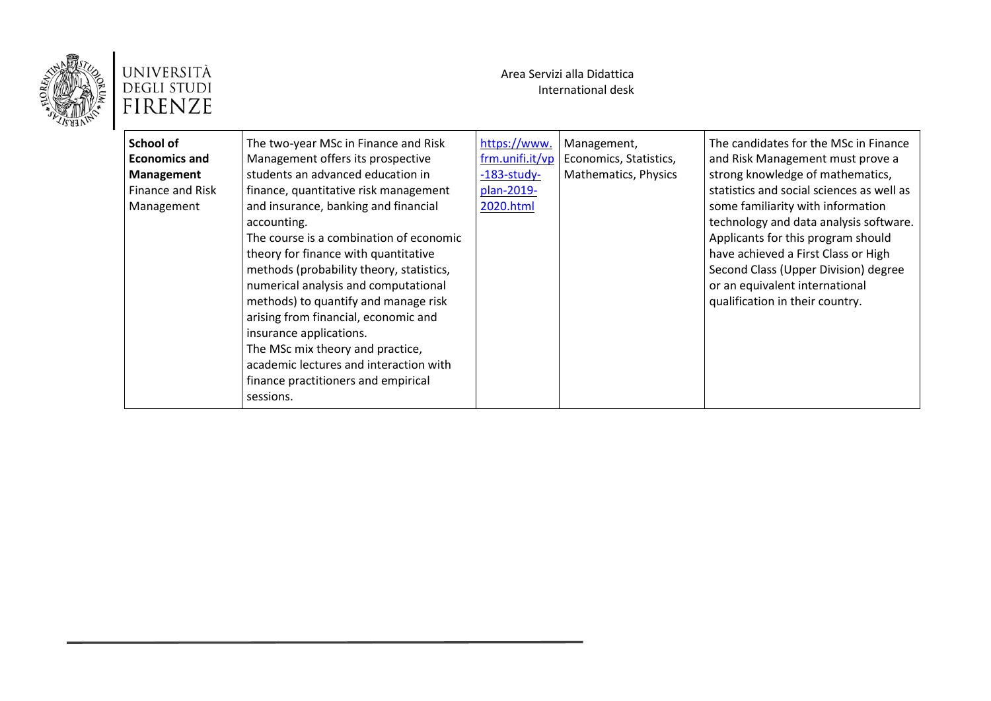

| School of<br><b>Economics and</b><br><b>Management</b><br>Finance and Risk<br>Management | The two-year MSc in Finance and Risk<br>Management offers its prospective<br>students an advanced education in<br>finance, quantitative risk management<br>and insurance, banking and financial<br>accounting.<br>The course is a combination of economic<br>theory for finance with quantitative<br>methods (probability theory, statistics,<br>numerical analysis and computational<br>methods) to quantify and manage risk<br>arising from financial, economic and<br>insurance applications.<br>The MSc mix theory and practice,<br>academic lectures and interaction with<br>finance practitioners and empirical<br>sessions. | https://www.<br>frm.unifi.it/vp<br>$-183$ -study-<br>plan-2019-<br>2020.html | Management,<br>Economics, Statistics,<br>Mathematics, Physics | The candidates for the MSc in Finance<br>and Risk Management must prove a<br>strong knowledge of mathematics,<br>statistics and social sciences as well as<br>some familiarity with information<br>technology and data analysis software.<br>Applicants for this program should<br>have achieved a First Class or High<br>Second Class (Upper Division) degree<br>or an equivalent international<br>qualification in their country. |
|------------------------------------------------------------------------------------------|------------------------------------------------------------------------------------------------------------------------------------------------------------------------------------------------------------------------------------------------------------------------------------------------------------------------------------------------------------------------------------------------------------------------------------------------------------------------------------------------------------------------------------------------------------------------------------------------------------------------------------|------------------------------------------------------------------------------|---------------------------------------------------------------|-------------------------------------------------------------------------------------------------------------------------------------------------------------------------------------------------------------------------------------------------------------------------------------------------------------------------------------------------------------------------------------------------------------------------------------|
|------------------------------------------------------------------------------------------|------------------------------------------------------------------------------------------------------------------------------------------------------------------------------------------------------------------------------------------------------------------------------------------------------------------------------------------------------------------------------------------------------------------------------------------------------------------------------------------------------------------------------------------------------------------------------------------------------------------------------------|------------------------------------------------------------------------------|---------------------------------------------------------------|-------------------------------------------------------------------------------------------------------------------------------------------------------------------------------------------------------------------------------------------------------------------------------------------------------------------------------------------------------------------------------------------------------------------------------------|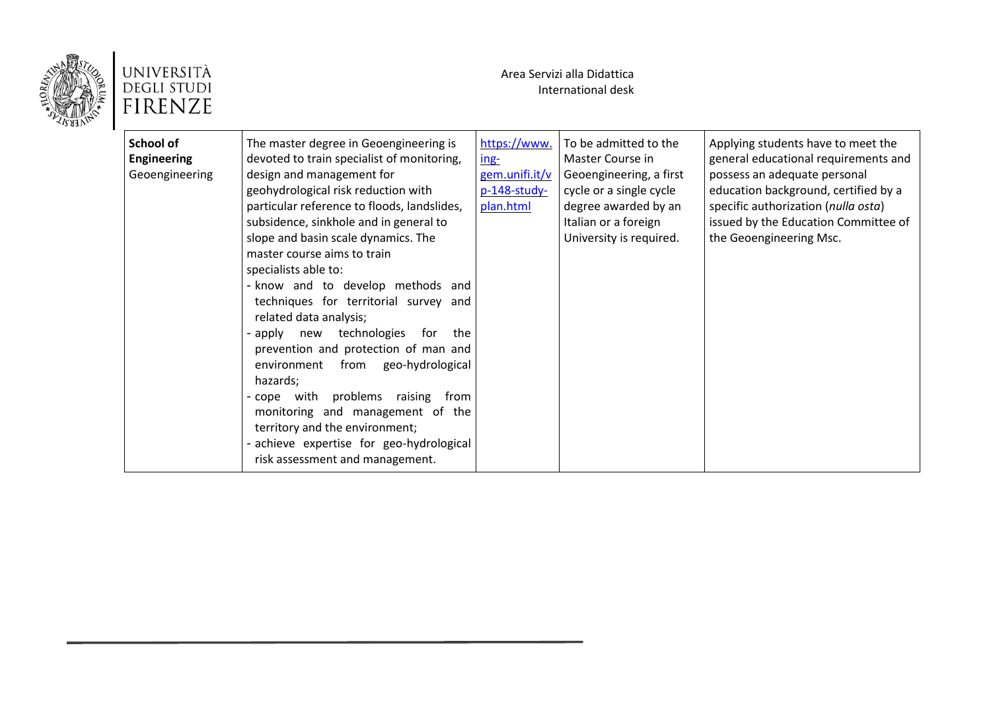

| https://www.<br>To be admitted to the<br>School of<br>The master degree in Geoengineering is<br>Applying students have to meet the<br><b>Engineering</b><br>devoted to train specialist of monitoring,<br>general educational requirements and<br>$ing-$<br>Master Course in<br>design and management for<br>gem.unifi.it/v<br>possess an adequate personal<br>Geoengineering<br>Geoengineering, a first<br>geohydrological risk reduction with<br>education background, certified by a<br>p-148-study-<br>cycle or a single cycle<br>particular reference to floods, landslides,<br>plan.html<br>degree awarded by an<br>specific authorization (nulla osta)<br>subsidence, sinkhole and in general to<br>issued by the Education Committee of<br>Italian or a foreign<br>slope and basin scale dynamics. The<br>University is required.<br>the Geoengineering Msc.<br>master course aims to train<br>specialists able to:<br>- know and to develop methods and<br>techniques for territorial survey and<br>related data analysis;<br>technologies<br>- apply new<br>for the<br>prevention and protection of man and<br>environment from<br>geo-hydrological |
|---------------------------------------------------------------------------------------------------------------------------------------------------------------------------------------------------------------------------------------------------------------------------------------------------------------------------------------------------------------------------------------------------------------------------------------------------------------------------------------------------------------------------------------------------------------------------------------------------------------------------------------------------------------------------------------------------------------------------------------------------------------------------------------------------------------------------------------------------------------------------------------------------------------------------------------------------------------------------------------------------------------------------------------------------------------------------------------------------------------------------------------------------------------|
| hazards;<br>- cope with problems<br>raising from<br>monitoring and management of the<br>territory and the environment;<br>- achieve expertise for geo-hydrological<br>risk assessment and management.                                                                                                                                                                                                                                                                                                                                                                                                                                                                                                                                                                                                                                                                                                                                                                                                                                                                                                                                                         |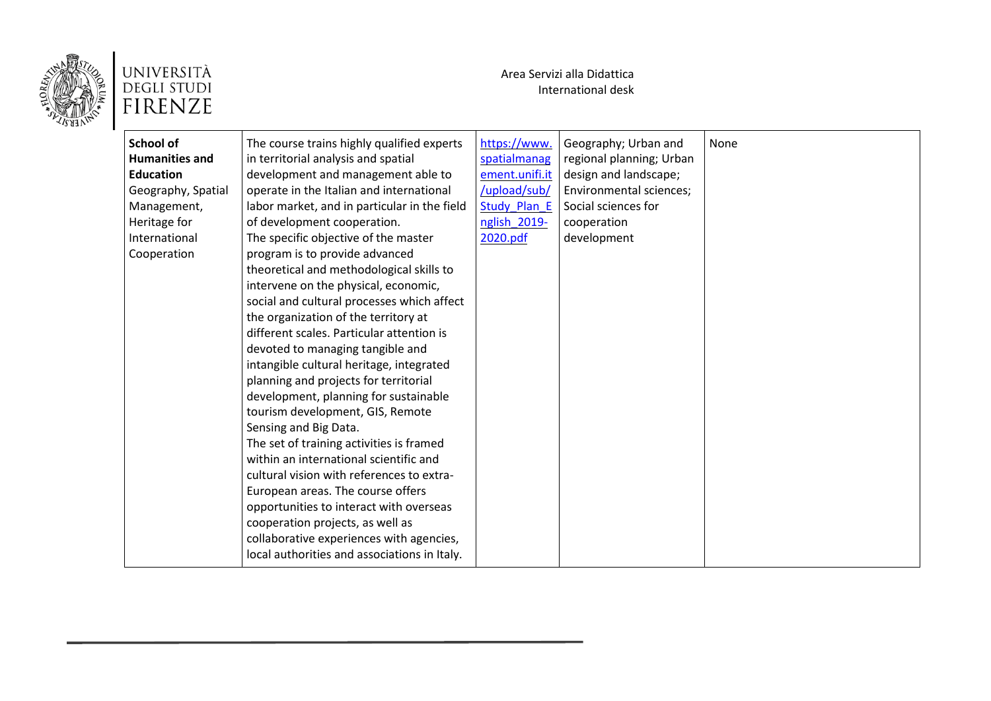

| School of             |                                              |                     |                          |      |
|-----------------------|----------------------------------------------|---------------------|--------------------------|------|
|                       | The course trains highly qualified experts   | https://www.        | Geography; Urban and     | None |
| <b>Humanities and</b> | in territorial analysis and spatial          | spatialmanag        | regional planning; Urban |      |
| <b>Education</b>      | development and management able to           | ement.unifi.it      | design and landscape;    |      |
| Geography, Spatial    | operate in the Italian and international     | /upload/sub/        | Environmental sciences;  |      |
| Management,           | labor market, and in particular in the field | <b>Study Plan E</b> | Social sciences for      |      |
| Heritage for          | of development cooperation.                  | nglish 2019-        | cooperation              |      |
| International         | The specific objective of the master         | 2020.pdf            | development              |      |
| Cooperation           | program is to provide advanced               |                     |                          |      |
|                       | theoretical and methodological skills to     |                     |                          |      |
|                       | intervene on the physical, economic,         |                     |                          |      |
|                       | social and cultural processes which affect   |                     |                          |      |
|                       | the organization of the territory at         |                     |                          |      |
|                       | different scales. Particular attention is    |                     |                          |      |
|                       | devoted to managing tangible and             |                     |                          |      |
|                       | intangible cultural heritage, integrated     |                     |                          |      |
|                       | planning and projects for territorial        |                     |                          |      |
|                       | development, planning for sustainable        |                     |                          |      |
|                       | tourism development, GIS, Remote             |                     |                          |      |
|                       | Sensing and Big Data.                        |                     |                          |      |
|                       | The set of training activities is framed     |                     |                          |      |
|                       | within an international scientific and       |                     |                          |      |
|                       | cultural vision with references to extra-    |                     |                          |      |
|                       | European areas. The course offers            |                     |                          |      |
|                       | opportunities to interact with overseas      |                     |                          |      |
|                       | cooperation projects, as well as             |                     |                          |      |
|                       | collaborative experiences with agencies,     |                     |                          |      |
|                       | local authorities and associations in Italy. |                     |                          |      |
|                       |                                              |                     |                          |      |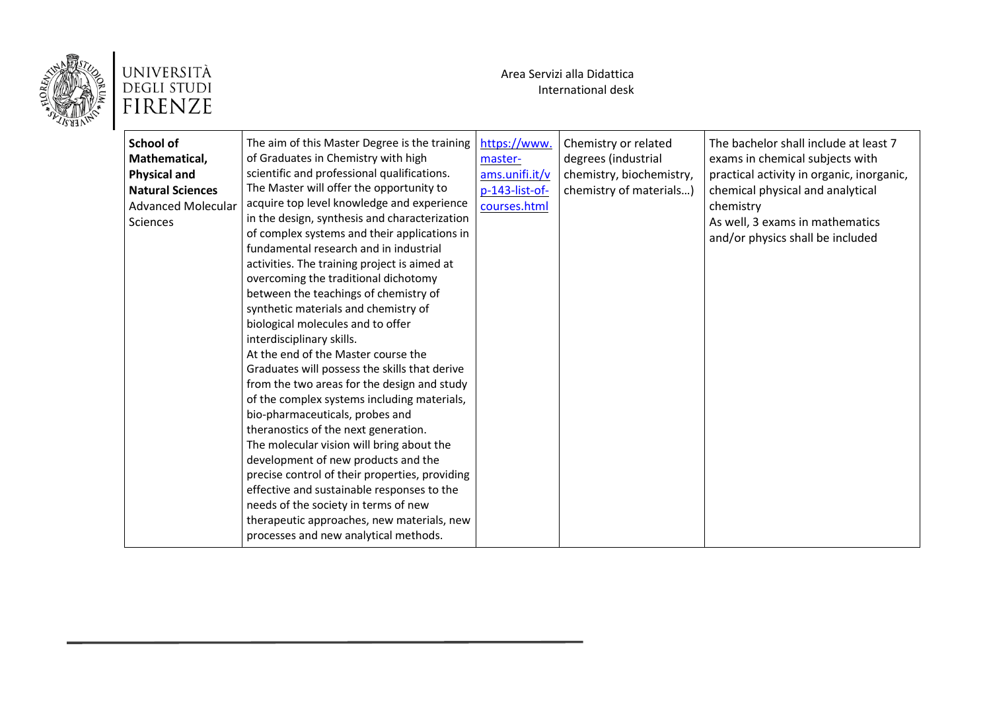

| <b>School of</b><br>Mathematical,<br><b>Physical and</b><br><b>Natural Sciences</b><br><b>Advanced Molecular</b><br><b>Sciences</b> | The aim of this Master Degree is the training<br>of Graduates in Chemistry with high<br>scientific and professional qualifications.<br>The Master will offer the opportunity to<br>acquire top level knowledge and experience<br>in the design, synthesis and characterization<br>of complex systems and their applications in<br>fundamental research and in industrial<br>activities. The training project is aimed at<br>overcoming the traditional dichotomy<br>between the teachings of chemistry of<br>synthetic materials and chemistry of<br>biological molecules and to offer<br>interdisciplinary skills.<br>At the end of the Master course the<br>Graduates will possess the skills that derive<br>from the two areas for the design and study<br>of the complex systems including materials,<br>bio-pharmaceuticals, probes and<br>theranostics of the next generation.<br>The molecular vision will bring about the<br>development of new products and the<br>precise control of their properties, providing<br>effective and sustainable responses to the<br>needs of the society in terms of new<br>therapeutic approaches, new materials, new<br>processes and new analytical methods. | https://www.<br>master-<br>ams.unifi.it/v<br>p-143-list-of-<br>courses.html | Chemistry or related<br>degrees (industrial<br>chemistry, biochemistry,<br>chemistry of materials) | The bachelor shall include at least 7<br>exams in chemical subjects with<br>practical activity in organic, inorganic,<br>chemical physical and analytical<br>chemistry<br>As well, 3 exams in mathematics<br>and/or physics shall be included |
|-------------------------------------------------------------------------------------------------------------------------------------|---------------------------------------------------------------------------------------------------------------------------------------------------------------------------------------------------------------------------------------------------------------------------------------------------------------------------------------------------------------------------------------------------------------------------------------------------------------------------------------------------------------------------------------------------------------------------------------------------------------------------------------------------------------------------------------------------------------------------------------------------------------------------------------------------------------------------------------------------------------------------------------------------------------------------------------------------------------------------------------------------------------------------------------------------------------------------------------------------------------------------------------------------------------------------------------------------------|-----------------------------------------------------------------------------|----------------------------------------------------------------------------------------------------|-----------------------------------------------------------------------------------------------------------------------------------------------------------------------------------------------------------------------------------------------|
|-------------------------------------------------------------------------------------------------------------------------------------|---------------------------------------------------------------------------------------------------------------------------------------------------------------------------------------------------------------------------------------------------------------------------------------------------------------------------------------------------------------------------------------------------------------------------------------------------------------------------------------------------------------------------------------------------------------------------------------------------------------------------------------------------------------------------------------------------------------------------------------------------------------------------------------------------------------------------------------------------------------------------------------------------------------------------------------------------------------------------------------------------------------------------------------------------------------------------------------------------------------------------------------------------------------------------------------------------------|-----------------------------------------------------------------------------|----------------------------------------------------------------------------------------------------|-----------------------------------------------------------------------------------------------------------------------------------------------------------------------------------------------------------------------------------------------|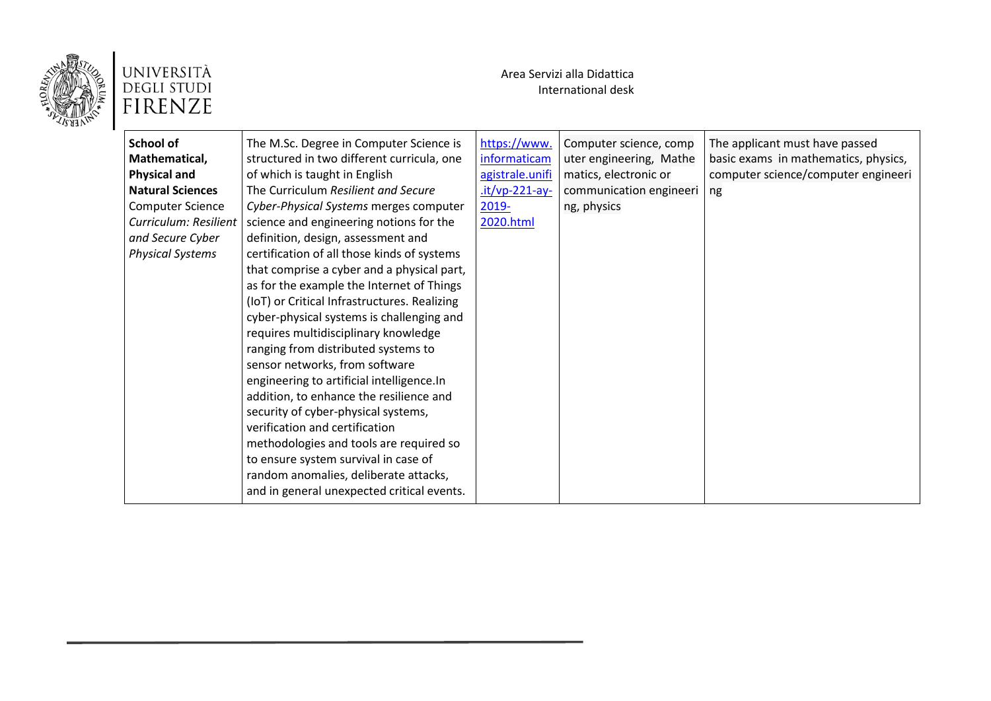

| School of<br>Mathematical,<br><b>Physical and</b><br><b>Natural Sciences</b><br><b>Computer Science</b><br>Curriculum: Resilient<br>and Secure Cyber<br><b>Physical Systems</b> | The M.Sc. Degree in Computer Science is<br>structured in two different curricula, one<br>of which is taught in English<br>The Curriculum Resilient and Secure<br>Cyber-Physical Systems merges computer<br>science and engineering notions for the<br>definition, design, assessment and<br>certification of all those kinds of systems<br>that comprise a cyber and a physical part,<br>as for the example the Internet of Things<br>(IoT) or Critical Infrastructures. Realizing<br>cyber-physical systems is challenging and<br>requires multidisciplinary knowledge<br>ranging from distributed systems to<br>sensor networks, from software<br>engineering to artificial intelligence.In<br>addition, to enhance the resilience and<br>security of cyber-physical systems,<br>verification and certification<br>methodologies and tools are required so<br>to ensure system survival in case of<br>random anomalies, deliberate attacks,<br>and in general unexpected critical events. | https://www.<br>informaticam<br>agistrale.unifi<br>.it/vp-221-ay-<br>2019-<br>2020.html | Computer science, comp<br>uter engineering, Mathe<br>matics, electronic or<br>communication engineeri<br>ng, physics | The applicant must have passed<br>basic exams in mathematics, physics,<br>computer science/computer engineeri<br>ng |
|---------------------------------------------------------------------------------------------------------------------------------------------------------------------------------|---------------------------------------------------------------------------------------------------------------------------------------------------------------------------------------------------------------------------------------------------------------------------------------------------------------------------------------------------------------------------------------------------------------------------------------------------------------------------------------------------------------------------------------------------------------------------------------------------------------------------------------------------------------------------------------------------------------------------------------------------------------------------------------------------------------------------------------------------------------------------------------------------------------------------------------------------------------------------------------------|-----------------------------------------------------------------------------------------|----------------------------------------------------------------------------------------------------------------------|---------------------------------------------------------------------------------------------------------------------|
|---------------------------------------------------------------------------------------------------------------------------------------------------------------------------------|---------------------------------------------------------------------------------------------------------------------------------------------------------------------------------------------------------------------------------------------------------------------------------------------------------------------------------------------------------------------------------------------------------------------------------------------------------------------------------------------------------------------------------------------------------------------------------------------------------------------------------------------------------------------------------------------------------------------------------------------------------------------------------------------------------------------------------------------------------------------------------------------------------------------------------------------------------------------------------------------|-----------------------------------------------------------------------------------------|----------------------------------------------------------------------------------------------------------------------|---------------------------------------------------------------------------------------------------------------------|